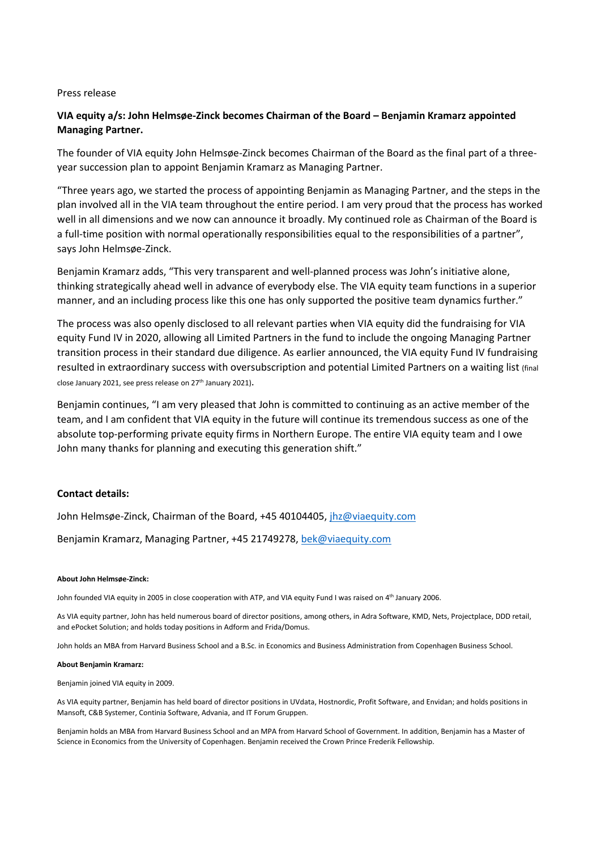## Press release

# **VIA equity a/s: John Helmsøe-Zinck becomes Chairman of the Board – Benjamin Kramarz appointed Managing Partner.**

The founder of VIA equity John Helmsøe-Zinck becomes Chairman of the Board as the final part of a threeyear succession plan to appoint Benjamin Kramarz as Managing Partner.

"Three years ago, we started the process of appointing Benjamin as Managing Partner, and the steps in the plan involved all in the VIA team throughout the entire period. I am very proud that the process has worked well in all dimensions and we now can announce it broadly. My continued role as Chairman of the Board is a full-time position with normal operationally responsibilities equal to the responsibilities of a partner", says John Helmsøe-Zinck.

Benjamin Kramarz adds, "This very transparent and well-planned process was John's initiative alone, thinking strategically ahead well in advance of everybody else. The VIA equity team functions in a superior manner, and an including process like this one has only supported the positive team dynamics further."

The process was also openly disclosed to all relevant parties when VIA equity did the fundraising for VIA equity Fund IV in 2020, allowing all Limited Partners in the fund to include the ongoing Managing Partner transition process in their standard due diligence. As earlier announced, the VIA equity Fund IV fundraising resulted in extraordinary success with oversubscription and potential Limited Partners on a waiting list (final close January 2021, see press release on 27<sup>th</sup> January 2021).

Benjamin continues, "I am very pleased that John is committed to continuing as an active member of the team, and I am confident that VIA equity in the future will continue its tremendous success as one of the absolute top-performing private equity firms in Northern Europe. The entire VIA equity team and I owe John many thanks for planning and executing this generation shift."

## **Contact details:**

John Helmsøe-Zinck, Chairman of the Board, +45 40104405[, jhz@viaequity.com](mailto:jhz@viaequity.com)

Benjamin Kramarz, Managing Partner, +45 21749278, [bek@viaequity.com](mailto:bek@viaequity.com)

### **About John Helmsøe-Zinck:**

John founded VIA equity in 2005 in close cooperation with ATP, and VIA equity Fund I was raised on 4<sup>th</sup> January 2006.

As VIA equity partner, John has held numerous board of director positions, among others, in Adra Software, KMD, Nets, Projectplace, DDD retail, and ePocket Solution; and holds today positions in Adform and Frida/Domus.

John holds an MBA from Harvard Business School and a B.Sc. in Economics and Business Administration from Copenhagen Business School.

#### **About Benjamin Kramarz:**

Benjamin joined VIA equity in 2009.

As VIA equity partner, Benjamin has held board of director positions in UVdata, Hostnordic, Profit Software, and Envidan; and holds positions in Mansoft, C&B Systemer, Continia Software, Advania, and IT Forum Gruppen.

Benjamin holds an MBA from Harvard Business School and an MPA from Harvard School of Government. In addition, Benjamin has a Master of Science in Economics from the University of Copenhagen. Benjamin received the Crown Prince Frederik Fellowship.